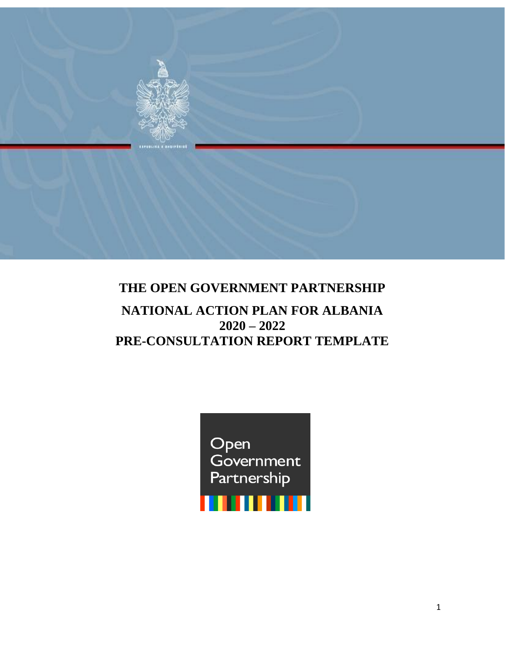

# **THE OPEN GOVERNMENT PARTNERSHIP NATIONAL ACTION PLAN FOR ALBANIA 2020 – 2022**

# **PRE-CONSULTATION REPORT TEMPLATE**

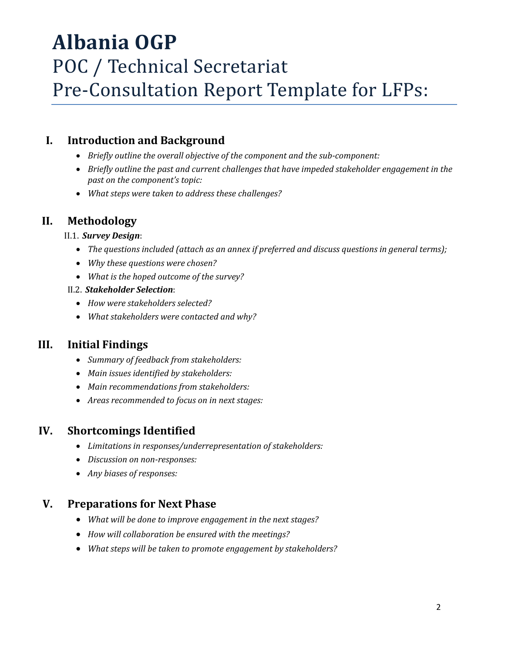# **Albania OGP**  POC / Technical Secretariat Pre-Consultation Report Template for LFPs:

#### **I. Introduction and Background**

- *Briefly outline the overall objective of the component and the sub-component:*
- *Briefly outline the past and current challenges that have impeded stakeholder engagement in the past on the component's topic:*
- *What steps were taken to address these challenges?*

#### **II. Methodology**

#### II.1. *Survey Design*:

- *The questions included (attach as an annex if preferred and discuss questions in general terms);*
- *Why these questions were chosen?*
- *What is the hoped outcome of the survey?*
- II.2. *Stakeholder Selection*:
	- *How were stakeholders selected?*
	- *What stakeholders were contacted and why?*

#### **III. Initial Findings**

- *Summary of feedback from stakeholders:*
- *Main issues identified by stakeholders:*
- *Main recommendations from stakeholders:*
- *Areas recommended to focus on in next stages:*

#### **IV. Shortcomings Identified**

- *Limitations in responses/underrepresentation of stakeholders:*
- *Discussion on non-responses:*
- *Any biases of responses:*

#### **V. Preparations for Next Phase**

- *What will be done to improve engagement in the next stages?*
- *How will collaboration be ensured with the meetings?*
- *What steps will be taken to promote engagement by stakeholders?*